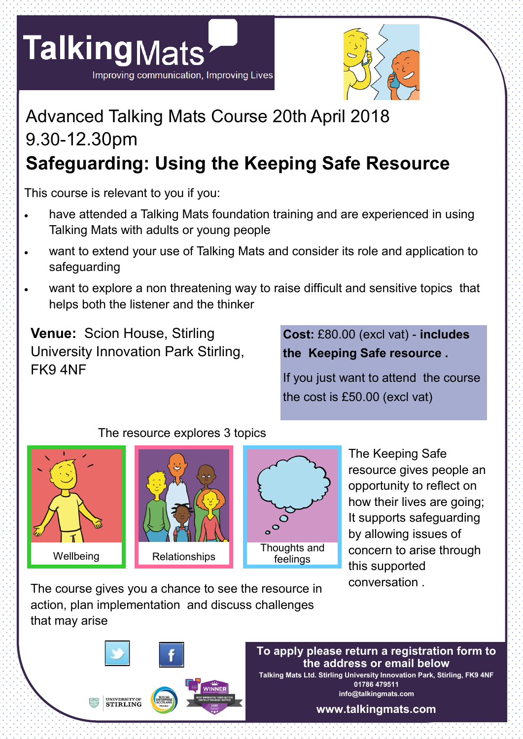



## Advanced Talking Mats Course 20th April 2018 9.30-12.30pm **Safeguarding: Using the Keeping Safe Resource**

This course is relevant to you if you:

- have attended a Talking Mats foundation training and are experienced in using Talking Mats with adults or young people
- want to extend your use of Talking Mats and consider its role and application to safeguarding
- want to explore a non threatening way to raise difficult and sensitive topics that helps both the listener and the thinker

**Venue:** Scion House, Stirling University Innovation Park Stirling, FK9 4NF

**Cost:** £80.00 (excl vat) - **includes the Keeping Safe resource .**

If you just want to attend the course the cost is £50.00 (excl vat)

#### The resource explores 3 topics







The Keeping Safe resource gives people an opportunity to reflect on how their lives are going; It supports safeguarding by allowing issues of concern to arise through this supported conversation .

The course gives you a chance to see the resource in action, plan implementation and discuss challenges that may arise



#### **To apply please return a registration form to the address or email below Talking Mats Ltd. Stirling University Innovation Park, Stirling, FK9 4NF 01786 479511**

**info@talkingmats.com**

**www.talkingmats.com**